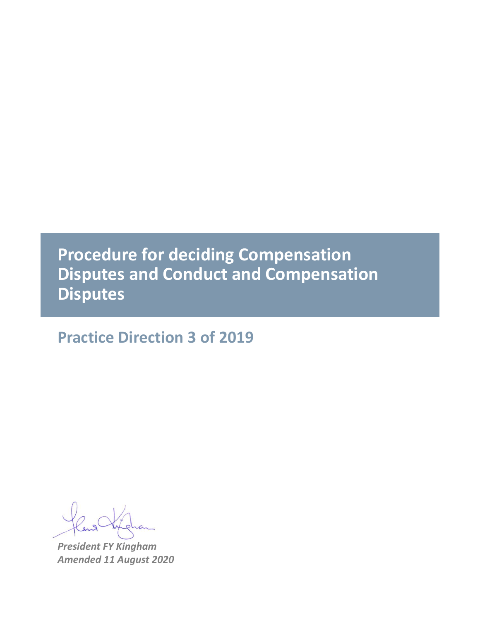# **Procedure for deciding Compensation Disputes and Conduct and Compensation Disputes**

## **Practice Direction 3 of 2019**

*President FY Kingham Amended 11 August 2020*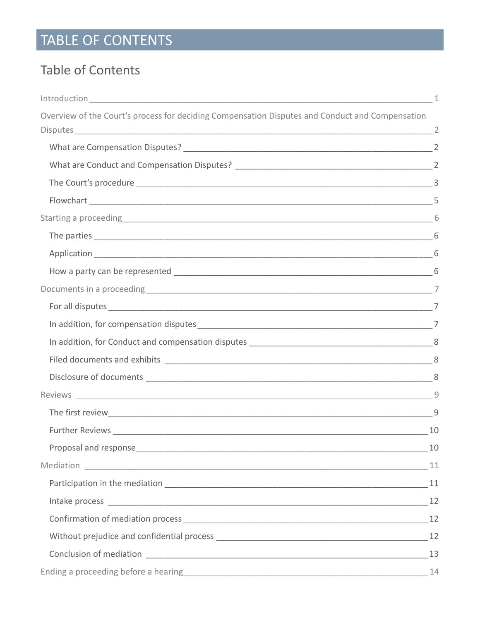# TABLE OF CONTENTS

### **Table of Contents**

|                                                                                                 | 1 |
|-------------------------------------------------------------------------------------------------|---|
| Overview of the Court's process for deciding Compensation Disputes and Conduct and Compensation |   |
|                                                                                                 |   |
|                                                                                                 |   |
|                                                                                                 |   |
|                                                                                                 |   |
| Starting a proceeding 6                                                                         |   |
|                                                                                                 |   |
|                                                                                                 |   |
|                                                                                                 |   |
|                                                                                                 |   |
|                                                                                                 |   |
|                                                                                                 |   |
|                                                                                                 |   |
|                                                                                                 |   |
|                                                                                                 |   |
|                                                                                                 |   |
|                                                                                                 | 9 |
|                                                                                                 |   |
|                                                                                                 |   |
|                                                                                                 |   |
|                                                                                                 |   |
|                                                                                                 |   |
|                                                                                                 |   |
|                                                                                                 |   |
|                                                                                                 |   |
|                                                                                                 |   |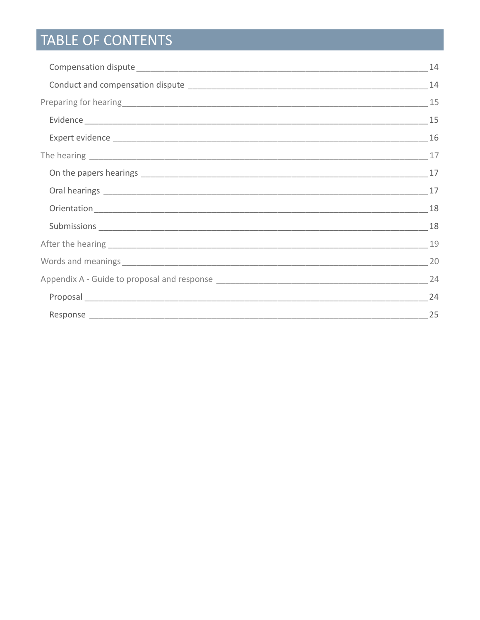# TABLE OF CONTENTS

| -24 |
|-----|
|     |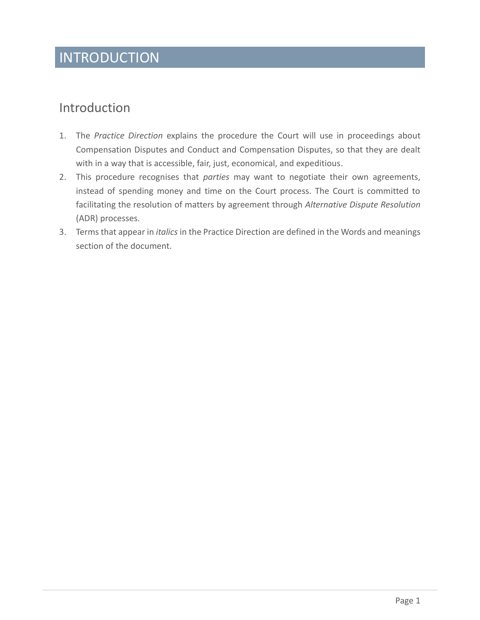## INTRODUCTION

### <span id="page-3-0"></span>Introduction

- 1. The *Practice Direction* explains the procedure the Court will use in proceedings about Compensation Disputes and Conduct and Compensation Disputes, so that they are dealt with in a way that is accessible, fair, just, economical, and expeditious.
- 2. This procedure recognises that *parties* may want to negotiate their own agreements, instead of spending money and time on the Court process. The Court is committed to facilitating the resolution of matters by agreement through *Alternative Dispute Resolution*  (ADR) processes.
- 3. Terms that appear in *italics* in the Practice Direction are defined in the Words and meanings section of the document.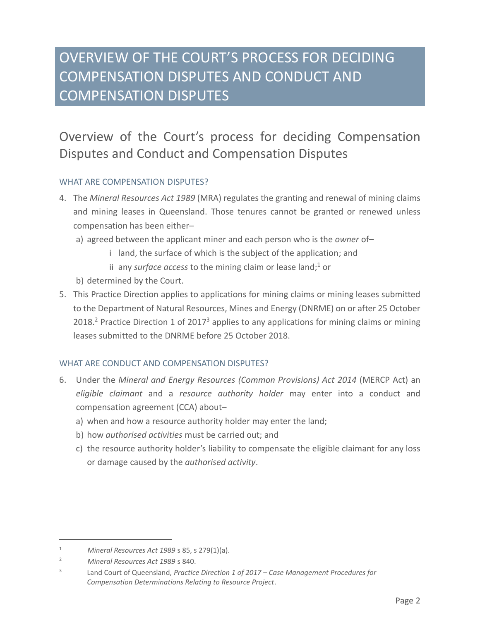## OVERVIEW OF THE COURT'S PROCESS FOR DECIDING COMPENSATION DISPUTES AND CONDUCT AND COMPENSATION DISPUTES

### <span id="page-4-0"></span>Overview of the Court's process for deciding Compensation Disputes and Conduct and Compensation Disputes

#### <span id="page-4-1"></span>WHAT ARE COMPENSATION DISPUTES?

- 4. The *Mineral Resources Act 1989* (MRA) regulates the granting and renewal of mining claims and mining leases in Queensland. Those tenures cannot be granted or renewed unless compensation has been either–
	- a) agreed between the applicant miner and each person who is the *owner* of–
		- i land, the surface of which is the subject of the application; and
		- ii any *surface access* to the mining claim or lease land;<sup>1</sup> or
	- b) determined by the Court.
- 5. This Practice Direction applies to applications for mining claims or mining leases submitted to the Department of Natural Resources, Mines and Energy (DNRME) on or after 25 October 2018.<sup>2</sup> Practice Direction 1 of 2017<sup>3</sup> applies to any applications for mining claims or mining leases submitted to the DNRME before 25 October 2018.

#### <span id="page-4-2"></span>WHAT ARE CONDUCT AND COMPENSATION DISPUTES?

- 6. Under the *Mineral and Energy Resources (Common Provisions) Act 2014* (MERCP Act) an *eligible claimant* and a *resource authority holder* may enter into a conduct and compensation agreement (CCA) about–
	- a) when and how a resource authority holder may enter the land;
	- b) how *authorised activities* must be carried out; and
	- c) the resource authority holder's liability to compensate the eligible claimant for any loss or damage caused by the *authorised activity*.

<sup>1</sup> *Mineral Resources Act 1989* s 85, s 279(1)(a).

<sup>2</sup> *Mineral Resources Act 1989* s 840.

<sup>3</sup> Land Court of Queensland, *Practice Direction 1 of 2017 – Case Management Procedures for Compensation Determinations Relating to Resource Project*.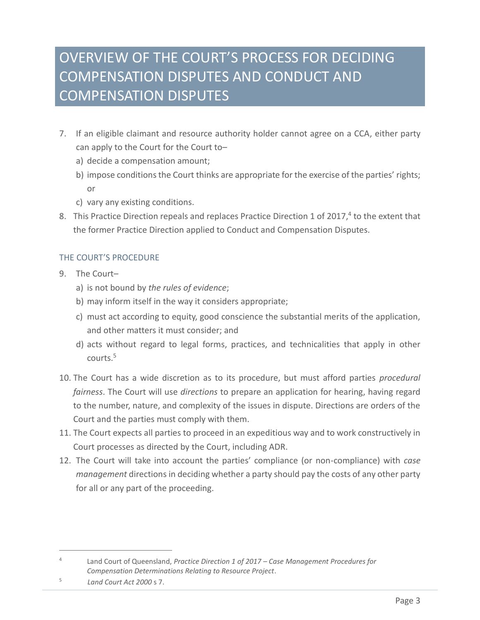## OVERVIEW OF THE COURT'S PROCESS FOR DECIDING COMPENSATION DISPUTES AND CONDUCT AND COMPENSATION DISPUTES

- 7. If an eligible claimant and resource authority holder cannot agree on a CCA, either party can apply to the Court for the Court to–
	- a) decide a compensation amount;
	- b) impose conditions the Court thinks are appropriate for the exercise of the parties' rights; or
	- c) vary any existing conditions.
- 8. This Practice Direction repeals and replaces Practice Direction 1 of 2017,<sup>4</sup> to the extent that the former Practice Direction applied to Conduct and Compensation Disputes.

#### <span id="page-5-0"></span>THE COURT'S PROCEDURE

- 9. The Court–
	- a) is not bound by *the rules of evidence*;
	- b) may inform itself in the way it considers appropriate;
	- c) must act according to equity, good conscience the substantial merits of the application, and other matters it must consider; and
	- d) acts without regard to legal forms, practices, and technicalities that apply in other courts. 5
- 10. The Court has a wide discretion as to its procedure, but must afford parties *procedural fairness*. The Court will use *directions* to prepare an application for hearing, having regard to the number, nature, and complexity of the issues in dispute. Directions are orders of the Court and the parties must comply with them.
- 11. The Court expects all parties to proceed in an expeditious way and to work constructively in Court processes as directed by the Court, including ADR.
- 12. The Court will take into account the parties' compliance (or non-compliance) with *case management* directions in deciding whether a party should pay the costs of any other party for all or any part of the proceeding.

<sup>4</sup> Land Court of Queensland, *Practice Direction 1 of 2017 – Case Management Procedures for Compensation Determinations Relating to Resource Project*.

<sup>5</sup> *Land Court Act 2000* s 7.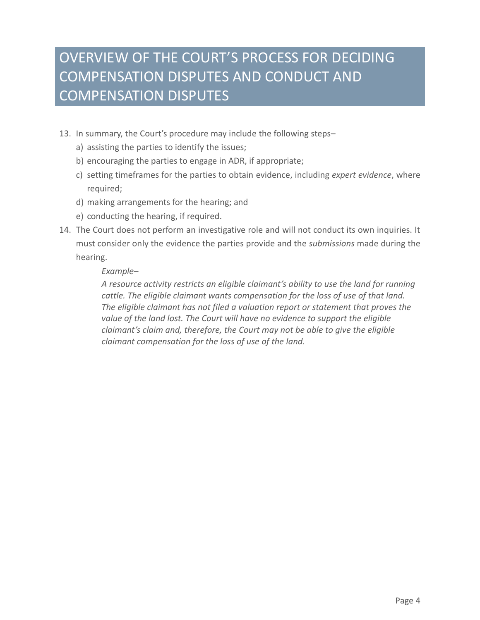## OVERVIEW OF THE COURT'S PROCESS FOR DECIDING COMPENSATION DISPUTES AND CONDUCT AND COMPENSATION DISPUTES

- 13. In summary, the Court's procedure may include the following steps–
	- a) assisting the parties to identify the issues;
	- b) encouraging the parties to engage in ADR, if appropriate;
	- c) setting timeframes for the parties to obtain evidence, including *expert evidence*, where required;
	- d) making arrangements for the hearing; and
	- e) conducting the hearing, if required.
- 14. The Court does not perform an investigative role and will not conduct its own inquiries. It must consider only the evidence the parties provide and the *submissions* made during the hearing.

#### *Example–*

*A resource activity restricts an eligible claimant's ability to use the land for running cattle. The eligible claimant wants compensation for the loss of use of that land. The eligible claimant has not filed a valuation report or statement that proves the value of the land lost. The Court will have no evidence to support the eligible claimant's claim and, therefore, the Court may not be able to give the eligible claimant compensation for the loss of use of the land.*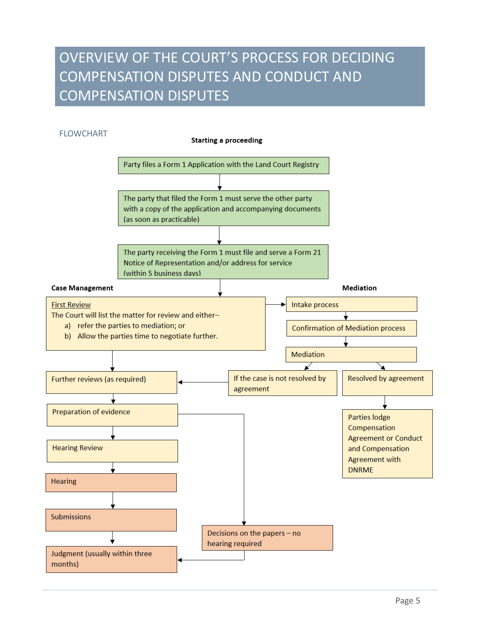## OVERVIEW OF THE COURT'S PROCESS FOR DECIDING COMPENSATION DISPUTES AND CONDUCT AND COMPENSATION DISPUTES

<span id="page-7-0"></span>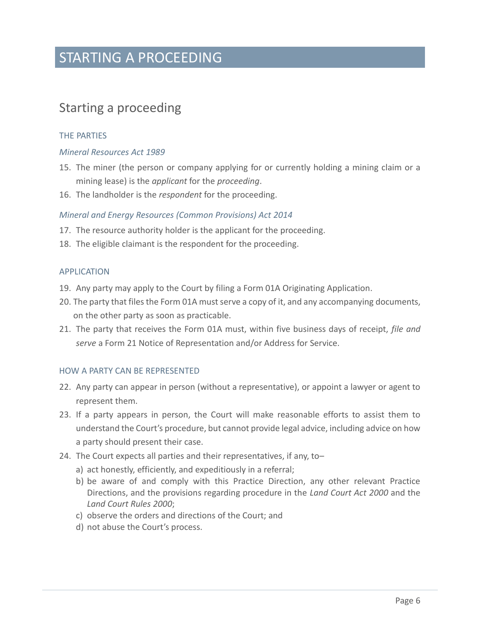### STARTING A PROCEEDING

### <span id="page-8-0"></span>Starting a proceeding

#### <span id="page-8-1"></span>THE PARTIES

#### *Mineral Resources Act 1989*

- 15. The miner (the person or company applying for or currently holding a mining claim or a mining lease) is the *applicant* for the *proceeding*.
- 16. The landholder is the *respondent* for the proceeding.

#### *Mineral and Energy Resources (Common Provisions) Act 2014*

- 17. The resource authority holder is the applicant for the proceeding.
- 18. The eligible claimant is the respondent for the proceeding.

#### <span id="page-8-2"></span>APPLICATION

- 19. Any party may apply to the Court by filing a Form 01A Originating Application.
- 20. The party that files the Form 01A must serve a copy of it, and any accompanying documents, on the other party as soon as practicable.
- 21. The party that receives the Form 01A must, within five business days of receipt, *file and serve* a Form 21 Notice of Representation and/or Address for Service.

#### <span id="page-8-3"></span>HOW A PARTY CAN BE REPRESENTED

- 22. Any party can appear in person (without a representative), or appoint a lawyer or agent to represent them.
- 23. If a party appears in person, the Court will make reasonable efforts to assist them to understand the Court's procedure, but cannot provide legal advice, including advice on how a party should present their case.
- 24. The Court expects all parties and their representatives, if any, to–
	- a) act honestly, efficiently, and expeditiously in a referral;
	- b) be aware of and comply with this Practice Direction, any other relevant Practice Directions, and the provisions regarding procedure in the *Land Court Act 2000* and the *Land Court Rules 2000*;
	- c) observe the orders and directions of the Court; and
	- d) not abuse the Court's process.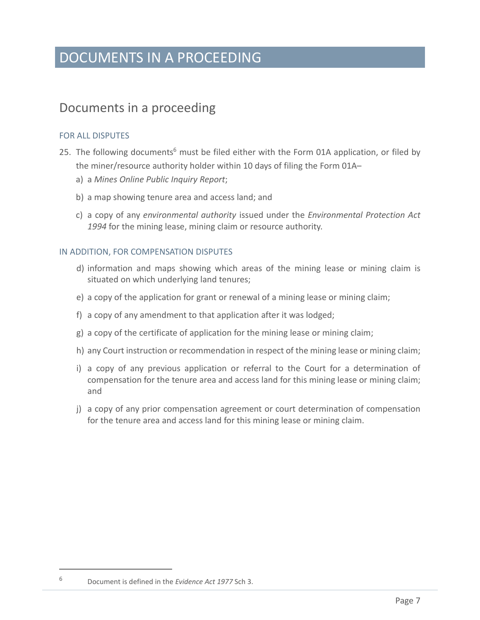### DOCUMENTS IN A PROCEEDING

### <span id="page-9-0"></span>Documents in a proceeding

#### <span id="page-9-1"></span>FOR ALL DISPUTES

- 25. The following documents<sup>6</sup> must be filed either with the Form 01A application, or filed by the miner/resource authority holder within 10 days of filing the Form 01A–
	- a) a *Mines Online Public Inquiry Report*;
	- b) a map showing tenure area and access land; and
	- c) a copy of any *environmental authority* issued under the *Environmental Protection Act 1994* for the mining lease, mining claim or resource authority.

#### <span id="page-9-2"></span>IN ADDITION, FOR COMPENSATION DISPUTES

- d) information and maps showing which areas of the mining lease or mining claim is situated on which underlying land tenures;
- e) a copy of the application for grant or renewal of a mining lease or mining claim;
- f) a copy of any amendment to that application after it was lodged;
- g) a copy of the certificate of application for the mining lease or mining claim;
- h) any Court instruction or recommendation in respect of the mining lease or mining claim;
- i) a copy of any previous application or referral to the Court for a determination of compensation for the tenure area and access land for this mining lease or mining claim; and
- j) a copy of any prior compensation agreement or court determination of compensation for the tenure area and access land for this mining lease or mining claim.

<sup>6</sup> Document is defined in the *Evidence Act 1977* Sch 3.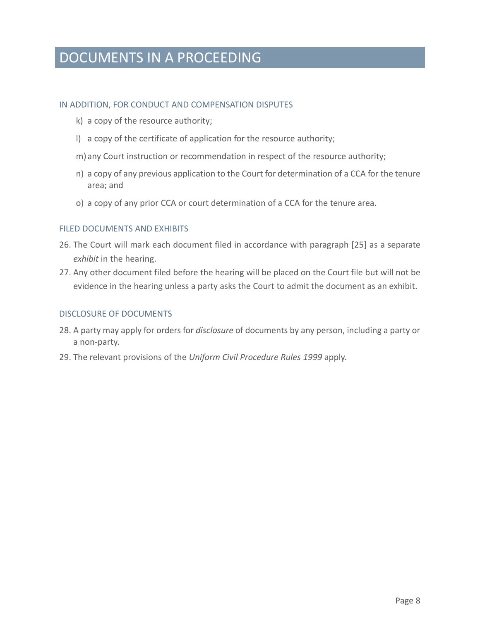## DOCUMENTS IN A PROCEEDING

#### <span id="page-10-0"></span>IN ADDITION, FOR CONDUCT AND COMPENSATION DISPUTES

- k) a copy of the resource authority;
- l) a copy of the certificate of application for the resource authority;
- m)any Court instruction or recommendation in respect of the resource authority;
- n) a copy of any previous application to the Court for determination of a CCA for the tenure area; and
- o) a copy of any prior CCA or court determination of a CCA for the tenure area.

#### <span id="page-10-1"></span>FILED DOCUMENTS AND EXHIBITS

- 26. The Court will mark each document filed in accordance with paragraph [25] as a separate *exhibit* in the hearing.
- 27. Any other document filed before the hearing will be placed on the Court file but will not be evidence in the hearing unless a party asks the Court to admit the document as an exhibit.

#### <span id="page-10-2"></span>DISCLOSURE OF DOCUMENTS

- 28. A party may apply for orders for *disclosure* of documents by any person, including a party or a non-party.
- 29. The relevant provisions of the *Uniform Civil Procedure Rules 1999* apply.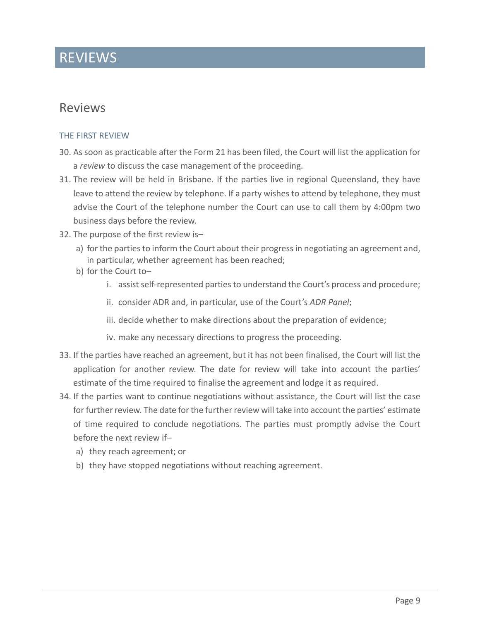### REVIEWS

### <span id="page-11-0"></span>Reviews

#### <span id="page-11-1"></span>THE FIRST REVIEW

- 30. As soon as practicable after the Form 21 has been filed, the Court will list the application for a *review* to discuss the case management of the proceeding.
- 31. The review will be held in Brisbane. If the parties live in regional Queensland, they have leave to attend the review by telephone. If a party wishes to attend by telephone, they must advise the Court of the telephone number the Court can use to call them by 4:00pm two business days before the review.
- 32. The purpose of the first review is–
	- a) for the parties to inform the Court about their progress in negotiating an agreement and, in particular, whether agreement has been reached;
	- b) for the Court to–
		- i. assist self-represented parties to understand the Court's process and procedure;
		- ii. consider ADR and, in particular, use of the Court's *ADR Panel*;
		- iii. decide whether to make directions about the preparation of evidence;
		- iv. make any necessary directions to progress the proceeding.
- 33. If the parties have reached an agreement, but it has not been finalised, the Court will list the application for another review. The date for review will take into account the parties' estimate of the time required to finalise the agreement and lodge it as required.
- 34. If the parties want to continue negotiations without assistance, the Court will list the case for further review. The date for the further review will take into account the parties' estimate of time required to conclude negotiations. The parties must promptly advise the Court before the next review if–
	- a) they reach agreement; or
	- b) they have stopped negotiations without reaching agreement.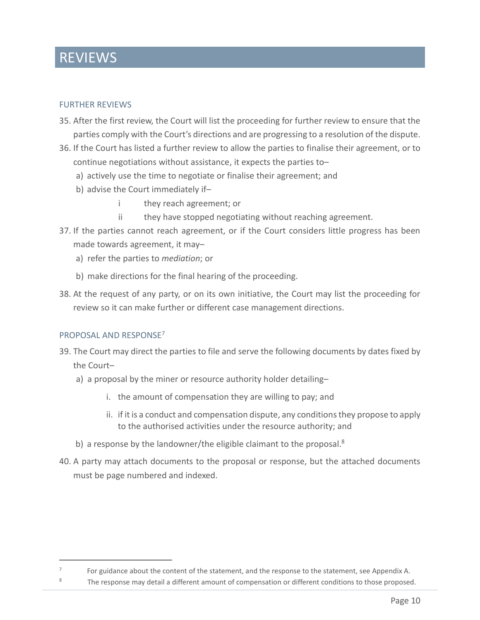### REVIEWS

#### <span id="page-12-0"></span>FURTHER REVIEWS

- 35. After the first review, the Court will list the proceeding for further review to ensure that the parties comply with the Court's directions and are progressing to a resolution of the dispute.
- 36. If the Court has listed a further review to allow the parties to finalise their agreement, or to continue negotiations without assistance, it expects the parties to–
	- a) actively use the time to negotiate or finalise their agreement; and
	- b) advise the Court immediately if–
		- i they reach agreement; or
		- ii they have stopped negotiating without reaching agreement.
- 37. If the parties cannot reach agreement, or if the Court considers little progress has been made towards agreement, it may–
	- a) refer the parties to *mediation*; or
	- b) make directions for the final hearing of the proceeding.
- 38. At the request of any party, or on its own initiative, the Court may list the proceeding for review so it can make further or different case management directions.

#### <span id="page-12-1"></span>PROPOSAL AND RESPONSE<sup>7</sup>

- 39. The Court may direct the parties to file and serve the following documents by dates fixed by the Court–
	- a) a proposal by the miner or resource authority holder detailing–
		- i. the amount of compensation they are willing to pay; and
		- ii. if it is a conduct and compensation dispute, any conditionsthey propose to apply to the authorised activities under the resource authority; and
	- b) a response by the landowner/the eligible claimant to the proposal.<sup>8</sup>
- 40. A party may attach documents to the proposal or response, but the attached documents must be page numbered and indexed.

<sup>7</sup> For guidance about the content of the statement, and the response to the statement, see Appendix A.

<sup>&</sup>lt;sup>8</sup> The response may detail a different amount of compensation or different conditions to those proposed.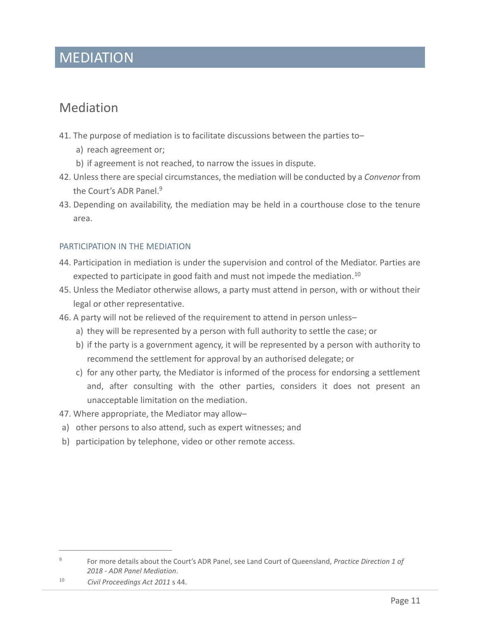### MEDIATION

### <span id="page-13-0"></span>Mediation

- 41. The purpose of mediation is to facilitate discussions between the parties to–
	- a) reach agreement or;
	- b) if agreement is not reached, to narrow the issues in dispute.
- 42. Unless there are special circumstances, the mediation will be conducted by a *Convenor* from the Court's ADR Panel.<sup>9</sup>
- 43. Depending on availability, the mediation may be held in a courthouse close to the tenure area.

#### <span id="page-13-1"></span>PARTICIPATION IN THE MEDIATION

- 44. Participation in mediation is under the supervision and control of the Mediator. Parties are expected to participate in good faith and must not impede the mediation.<sup>10</sup>
- 45. Unless the Mediator otherwise allows, a party must attend in person, with or without their legal or other representative.
- 46. A party will not be relieved of the requirement to attend in person unless–
	- a) they will be represented by a person with full authority to settle the case; or
	- b) if the party is a government agency, it will be represented by a person with authority to recommend the settlement for approval by an authorised delegate; or
	- c) for any other party, the Mediator is informed of the process for endorsing a settlement and, after consulting with the other parties, considers it does not present an unacceptable limitation on the mediation.
- 47. Where appropriate, the Mediator may allow–
- a) other persons to also attend, such as expert witnesses; and
- b) participation by telephone, video or other remote access.

<sup>9</sup> For more details about the Court's ADR Panel, see Land Court of Queensland, *Practice Direction 1 of 2018 - ADR Panel Mediation*.

<sup>10</sup> *Civil Proceedings Act 2011* s 44.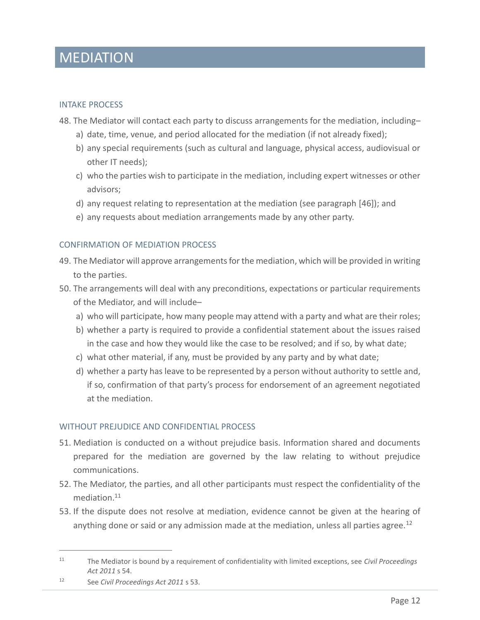### MEDIATION

#### <span id="page-14-0"></span>INTAKE PROCESS

- 48. The Mediator will contact each party to discuss arrangements for the mediation, including–
	- a) date, time, venue, and period allocated for the mediation (if not already fixed);
	- b) any special requirements (such as cultural and language, physical access, audiovisual or other IT needs);
	- c) who the parties wish to participate in the mediation, including expert witnesses or other advisors;
	- d) any request relating to representation at the mediation (see paragraph [46]); and
	- e) any requests about mediation arrangements made by any other party.

#### <span id="page-14-1"></span>CONFIRMATION OF MEDIATION PROCESS

- 49. The Mediator will approve arrangements for the mediation, which will be provided in writing to the parties.
- 50. The arrangements will deal with any preconditions, expectations or particular requirements of the Mediator, and will include–
	- a) who will participate, how many people may attend with a party and what are their roles;
	- b) whether a party is required to provide a confidential statement about the issues raised in the case and how they would like the case to be resolved; and if so, by what date;
	- c) what other material, if any, must be provided by any party and by what date;
	- d) whether a party has leave to be represented by a person without authority to settle and, if so, confirmation of that party's process for endorsement of an agreement negotiated at the mediation.

#### <span id="page-14-2"></span>WITHOUT PREJUDICE AND CONFIDENTIAL PROCESS

- 51. Mediation is conducted on a without prejudice basis. Information shared and documents prepared for the mediation are governed by the law relating to without prejudice communications.
- 52. The Mediator, the parties, and all other participants must respect the confidentiality of the mediation.<sup>11</sup>
- 53. If the dispute does not resolve at mediation, evidence cannot be given at the hearing of anything done or said or any admission made at the mediation, unless all parties agree.<sup>12</sup>

<sup>12</sup> See *Civil Proceedings Act 2011* s 53.

<sup>11</sup> The Mediator is bound by a requirement of confidentiality with limited exceptions, see *Civil Proceedings Act 2011* s 54.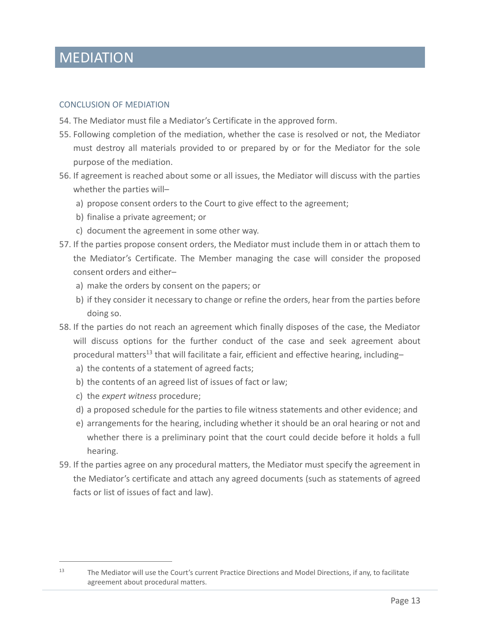### MEDIATION

#### <span id="page-15-0"></span>CONCLUSION OF MEDIATION

- 54. The Mediator must file a Mediator's Certificate in the approved form.
- 55. Following completion of the mediation, whether the case is resolved or not, the Mediator must destroy all materials provided to or prepared by or for the Mediator for the sole purpose of the mediation.
- 56. If agreement is reached about some or all issues, the Mediator will discuss with the parties whether the parties will–
	- a) propose consent orders to the Court to give effect to the agreement;
	- b) finalise a private agreement; or
	- c) document the agreement in some other way.
- 57. If the parties propose consent orders, the Mediator must include them in or attach them to the Mediator's Certificate. The Member managing the case will consider the proposed consent orders and either–
	- a) make the orders by consent on the papers; or
	- b) if they consider it necessary to change or refine the orders, hear from the parties before doing so.
- 58. If the parties do not reach an agreement which finally disposes of the case, the Mediator will discuss options for the further conduct of the case and seek agreement about procedural matters<sup>13</sup> that will facilitate a fair, efficient and effective hearing, including
	- a) the contents of a statement of agreed facts;
	- b) the contents of an agreed list of issues of fact or law;
	- c) the *expert witness* procedure;
	- d) a proposed schedule for the parties to file witness statements and other evidence; and
	- e) arrangements for the hearing, including whether it should be an oral hearing or not and whether there is a preliminary point that the court could decide before it holds a full hearing.
- 59. If the parties agree on any procedural matters, the Mediator must specify the agreement in the Mediator's certificate and attach any agreed documents (such as statements of agreed facts or list of issues of fact and law).

<sup>&</sup>lt;sup>13</sup> The Mediator will use the Court's current Practice Directions and Model Directions, if any, to facilitate agreement about procedural matters.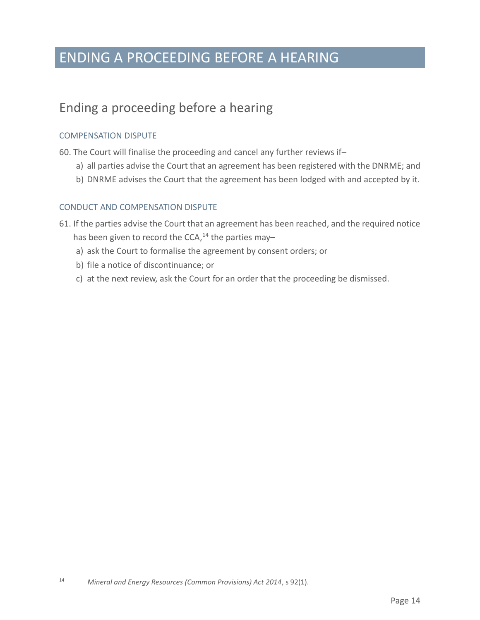## ENDING A PROCEEDING BEFORE A HEARING

### <span id="page-16-0"></span>Ending a proceeding before a hearing

#### <span id="page-16-1"></span>COMPENSATION DISPUTE

- 60. The Court will finalise the proceeding and cancel any further reviews if–
	- a) all parties advise the Court that an agreement has been registered with the DNRME; and
	- b) DNRME advises the Court that the agreement has been lodged with and accepted by it.

#### <span id="page-16-2"></span>CONDUCT AND COMPENSATION DISPUTE

- 61. If the parties advise the Court that an agreement has been reached, and the required notice has been given to record the CCA, $^{14}$  the parties may
	- a) ask the Court to formalise the agreement by consent orders; or
	- b) file a notice of discontinuance; or
	- c) at the next review, ask the Court for an order that the proceeding be dismissed.

<sup>14</sup> *Mineral and Energy Resources (Common Provisions) Act 2014*, s 92(1).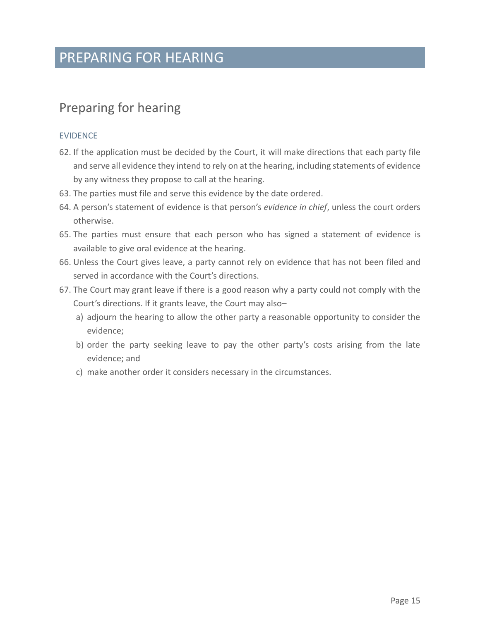## PREPARING FOR HEARING

### <span id="page-17-0"></span>Preparing for hearing

#### <span id="page-17-1"></span>EVIDENCE

- 62. If the application must be decided by the Court, it will make directions that each party file and serve all evidence they intend to rely on at the hearing, including statements of evidence by any witness they propose to call at the hearing.
- 63. The parties must file and serve this evidence by the date ordered.
- 64. A person's statement of evidence is that person's *evidence in chief*, unless the court orders otherwise.
- 65. The parties must ensure that each person who has signed a statement of evidence is available to give oral evidence at the hearing.
- 66. Unless the Court gives leave, a party cannot rely on evidence that has not been filed and served in accordance with the Court's directions.
- 67. The Court may grant leave if there is a good reason why a party could not comply with the Court's directions. If it grants leave, the Court may also–
	- a) adjourn the hearing to allow the other party a reasonable opportunity to consider the evidence;
	- b) order the party seeking leave to pay the other party's costs arising from the late evidence; and
	- c) make another order it considers necessary in the circumstances.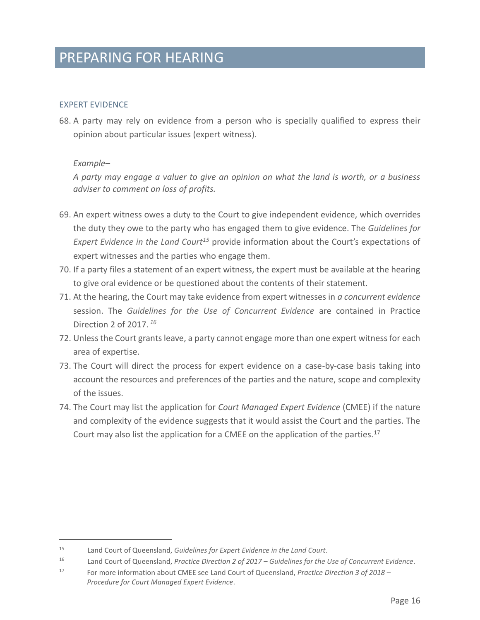### PREPARING FOR HEARING

#### <span id="page-18-0"></span>EXPERT EVIDENCE

68. A party may rely on evidence from a person who is specially qualified to express their opinion about particular issues (expert witness).

#### *Example–*

*A party may engage a valuer to give an opinion on what the land is worth, or a business adviser to comment on loss of profits.*

- 69. An expert witness owes a duty to the Court to give independent evidence, which overrides the duty they owe to the party who has engaged them to give evidence. The *Guidelines for Expert Evidence in the Land Court<sup>15</sup>* provide information about the Court's expectations of expert witnesses and the parties who engage them.
- 70. If a party files a statement of an expert witness, the expert must be available at the hearing to give oral evidence or be questioned about the contents of their statement.
- 71. At the hearing, the Court may take evidence from expert witnesses in *a concurrent evidence* session. The *Guidelines for the Use of Concurrent Evidence* are contained in Practice Direction 2 of 2017. *<sup>16</sup>*
- 72. Unless the Court grants leave, a party cannot engage more than one expert witness for each area of expertise.
- 73. The Court will direct the process for expert evidence on a case-by-case basis taking into account the resources and preferences of the parties and the nature, scope and complexity of the issues.
- 74. The Court may list the application for *Court Managed Expert Evidence* (CMEE) if the nature and complexity of the evidence suggests that it would assist the Court and the parties. The Court may also list the application for a CMEE on the application of the parties.<sup>17</sup>

<sup>15</sup> Land Court of Queensland, *Guidelines for Expert Evidence in the Land Court*.

<sup>16</sup> Land Court of Queensland, *Practice Direction 2 of 2017 – Guidelines for the Use of Concurrent Evidence*.

<sup>17</sup> For more information about CMEE see Land Court of Queensland, *Practice Direction 3 of 2018 – Procedure for Court Managed Expert Evidence*.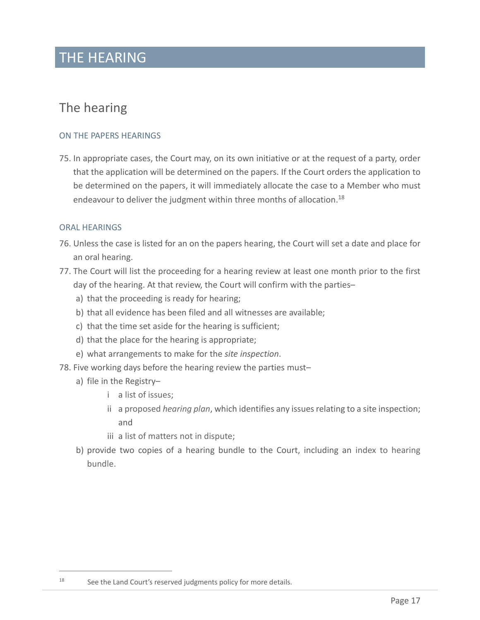### THE HEARING

### <span id="page-19-0"></span>The hearing

#### <span id="page-19-1"></span>ON THE PAPERS HEARINGS

75. In appropriate cases, the Court may, on its own initiative or at the request of a party, order that the application will be determined on the papers. If the Court orders the application to be determined on the papers, it will immediately allocate the case to a Member who must endeavour to deliver the judgment within three months of allocation.<sup>18</sup>

#### <span id="page-19-2"></span>ORAL HEARINGS

- 76. Unless the case is listed for an on the papers hearing, the Court will set a date and place for an oral hearing.
- 77. The Court will list the proceeding for a hearing review at least one month prior to the first day of the hearing. At that review, the Court will confirm with the parties–
	- a) that the proceeding is ready for hearing;
	- b) that all evidence has been filed and all witnesses are available;
	- c) that the time set aside for the hearing is sufficient;
	- d) that the place for the hearing is appropriate;
	- e) what arrangements to make for the *site inspection*.
- 78. Five working days before the hearing review the parties must–
	- a) file in the Registry–
		- i a list of issues;
		- ii a proposed *[hearing plan](https://www.courts.qld.gov.au/media/forms/land-court-act-2000/lc-f-proposed-hearing-plan.doc)*, which identifies any issues relating to a site inspection; and
		- iii a list of matters not in dispute;
	- b) provide two copies of a hearing bundle to the Court, including an [index to hearing](https://www.courts.qld.gov.au/media/forms/land-court-act-2000/lc-f-index-to-hearing-bundle.doc)  [bundle.](https://www.courts.qld.gov.au/media/forms/land-court-act-2000/lc-f-index-to-hearing-bundle.doc)

 $18$  See the Land Court's reserved judgments policy for more details.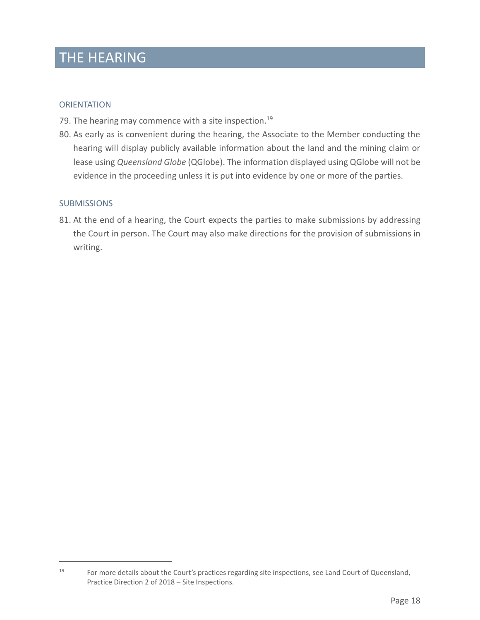## THE HEARING

#### <span id="page-20-0"></span>**ORIENTATION**

- 79. The hearing may commence with a site inspection.<sup>19</sup>
- 80. As early as is convenient during the hearing, the Associate to the Member conducting the hearing will display publicly available information about the land and the mining claim or lease using *[Queensland Globe](https://qldglobe.information.qld.gov.au/)* (QGlobe). The information displayed using QGlobe will not be evidence in the proceeding unless it is put into evidence by one or more of the parties.

#### <span id="page-20-1"></span>**SUBMISSIONS**

81. At the end of a hearing, the Court expects the parties to make submissions by addressing the Court in person. The Court may also make directions for the provision of submissions in writing.

<sup>&</sup>lt;sup>19</sup> For more details about the Court's practices regarding site inspections, see Land Court of Queensland, Practice Direction 2 of 2018 – Site Inspections.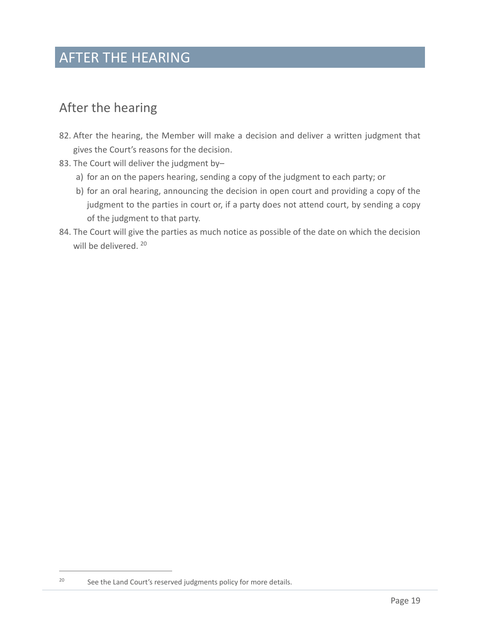## AFTER THE HEARING

### <span id="page-21-0"></span>After the hearing

- 82. After the hearing, the Member will make a decision and deliver a written judgment that gives the Court's reasons for the decision.
- 83. The Court will deliver the judgment by
	- a) for an on the papers hearing, sending a copy of the judgment to each party; or
	- b) for an oral hearing, announcing the decision in open court and providing a copy of the judgment to the parties in court or, if a party does not attend court, by sending a copy of the judgment to that party.
- 84. The Court will give the parties as much notice as possible of the date on which the decision will be delivered. 20

 $20$  See the Land Court's reserved judgments policy for more details.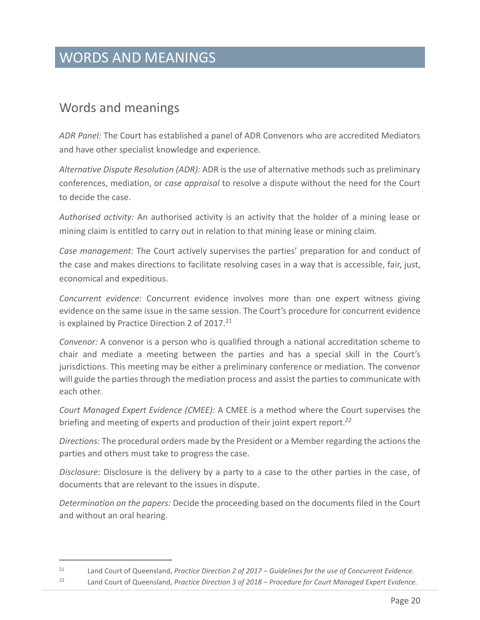### <span id="page-22-0"></span>Words and meanings

*ADR Panel:* The Court has established a panel of ADR Convenors who are accredited Mediators and have other specialist knowledge and experience.

*Alternative Dispute Resolution (ADR):* ADR is the use of alternative methods such as preliminary conferences, mediation, or *case appraisal* to resolve a dispute without the need for the Court to decide the case.

*Authorised activity:* An authorised activity is an activity that the holder of a mining lease or mining claim is entitled to carry out in relation to that mining lease or mining claim.

*Case management:* The Court actively supervises the parties' preparation for and conduct of the case and makes directions to facilitate resolving cases in a way that is accessible, fair, just, economical and expeditious.

*Concurrent evidence:* Concurrent evidence involves more than one expert witness giving evidence on the same issue in the same session. The Court's procedure for concurrent evidence is explained by Practice Direction 2 of 2017.<sup>21</sup>

*Convenor:* A convenor is a person who is qualified through a national accreditation scheme to chair and mediate a meeting between the parties and has a special skill in the Court's jurisdictions. This meeting may be either a preliminary conference or mediation. The convenor will guide the parties through the mediation process and assist the parties to communicate with each other.

*Court Managed Expert Evidence (CMEE):* A CMEE is a method where the Court supervises the briefing and meeting of experts and production of their joint expert report.*<sup>22</sup>*

*Directions:* The procedural orders made by the President or a Member regarding the actions the parties and others must take to progress the case.

*Disclosure:* Disclosure is the delivery by a party to a case to the other parties in the case, of documents that are relevant to the issues in dispute.

*Determination on the papers:* Decide the proceeding based on the documents filed in the Court and without an oral hearing.

<sup>21</sup> Land Court of Queensland, *Practice Direction 2 of 2017 – Guidelines for the use of Concurrent Evidence.*

<sup>22</sup> Land Court of Queensland, *Practice Direction 3 of 2018 – Procedure for Court Managed Expert Evidence.*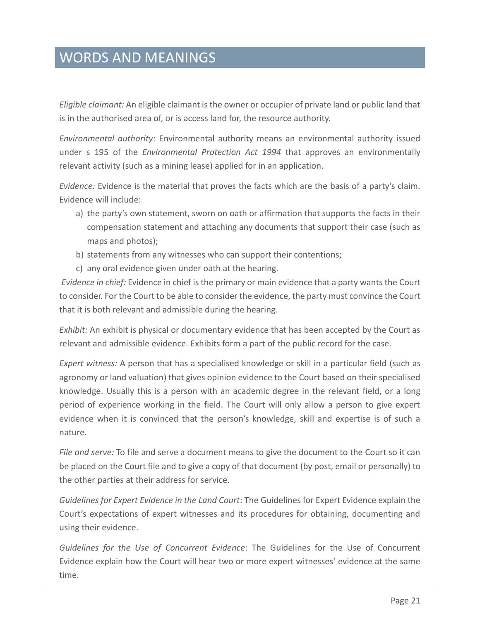*Eligible claimant:* An eligible claimant is the owner or occupier of private land or public land that is in the authorised area of, or is access land for, the resource authority.

*Environmental authority:* Environmental authority means an environmental authority issued under s 195 of the *Environmental Protection Act 1994* that approves an environmentally relevant activity (such as a mining lease) applied for in an application.

*Evidence:* Evidence is the material that proves the facts which are the basis of a party's claim. Evidence will include:

- a) the party's own statement, sworn on oath or affirmation that supports the facts in their compensation statement and attaching any documents that support their case (such as maps and photos);
- b) statements from any witnesses who can support their contentions;
- c) any oral evidence given under oath at the hearing.

*Evidence in chief:* Evidence in chief is the primary or main evidence that a party wants the Court to consider. For the Court to be able to consider the evidence, the party must convince the Court that it is both relevant and admissible during the hearing.

*Exhibit:* An exhibit is physical or documentary evidence that has been accepted by the Court as relevant and admissible evidence. Exhibits form a part of the public record for the case.

*Expert witness:* A person that has a specialised knowledge or skill in a particular field (such as agronomy or land valuation) that gives opinion evidence to the Court based on their specialised knowledge. Usually this is a person with an academic degree in the relevant field, or a long period of experience working in the field. The Court will only allow a person to give expert evidence when it is convinced that the person's knowledge, skill and expertise is of such a nature.

*File and serve:* To file and serve a document means to give the document to the Court so it can be placed on the Court file and to give a copy of that document (by post, email or personally) to the other parties at their address for service.

*Guidelines for Expert Evidence in the Land Court*: The Guidelines for Expert Evidence explain the Court's expectations of expert witnesses and its procedures for obtaining, documenting and using their evidence.

*Guidelines for the Use of Concurrent Evidence*: The Guidelines for the Use of Concurrent Evidence explain how the Court will hear two or more expert witnesses' evidence at the same time.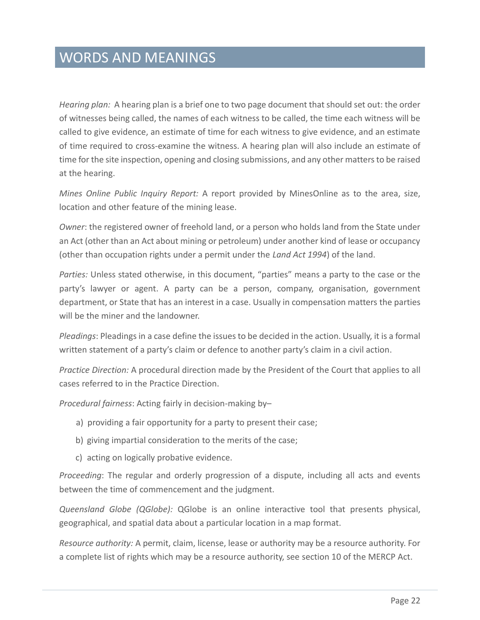*Hearing plan:* A hearing plan is a brief one to two page document that should set out: the order of witnesses being called, the names of each witness to be called, the time each witness will be called to give evidence, an estimate of time for each witness to give evidence, and an estimate of time required to cross-examine the witness. A hearing plan will also include an estimate of time for the site inspection, opening and closing submissions, and any other matters to be raised at the hearing.

*Mines Online Public Inquiry Report:* A report provided by MinesOnline as to the area, size, location and other feature of the mining lease.

*Owner*: the registered owner of freehold land, or a person who holds land from the State under an Act (other than an Act about mining or petroleum) under another kind of lease or occupancy (other than occupation rights under a permit under the *Land Act 1994*) of the land.

*Parties:* Unless stated otherwise, in this document, "parties" means a party to the case or the party's lawyer or agent. A party can be a person, company, organisation, government department, or State that has an interest in a case. Usually in compensation matters the parties will be the miner and the landowner.

*Pleadings*: Pleadings in a case define the issues to be decided in the action. Usually, it is a formal written statement of a party's claim or defence to another party's claim in a civil action.

*Practice Direction:* A procedural direction made by the President of the Court that applies to all cases referred to in the Practice Direction.

*Procedural fairness*: Acting fairly in decision-making by–

- a) providing a fair opportunity for a party to present their case;
- b) giving impartial consideration to the merits of the case;
- c) acting on logically probative evidence.

*Proceeding*: The regular and orderly progression of a dispute, including all acts and events between the time of commencement and the judgment.

*Queensland Globe (QGlobe):* QGlobe is an online interactive tool that presents physical, geographical, and spatial data about a particular location in a map format.

*Resource authority:* A permit, claim, license, lease or authority may be a resource authority. For a complete list of rights which may be a resource authority, see section 10 of the MERCP Act.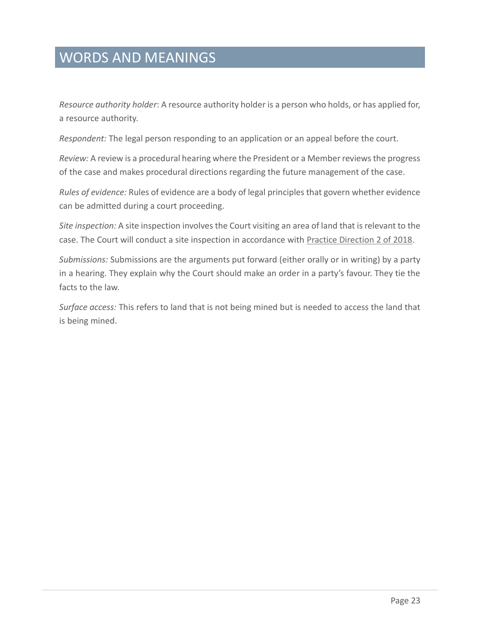*Resource authority holder*: A resource authority holder is a person who holds, or has applied for, a resource authority.

*Respondent:* The legal person responding to an application or an appeal before the court.

*Review:* A review is a procedural hearing where the President or a Member reviews the progress of the case and makes procedural directions regarding the future management of the case.

*Rules of evidence:* Rules of evidence are a body of legal principles that govern whether evidence can be admitted during a court proceeding.

*Site inspection:* A site inspection involves the Court visiting an area of land that is relevant to the case. The Court will conduct a site inspection in accordance with **Practice Direction 2 of 2018**.

*Submissions:* Submissions are the arguments put forward (either orally or in writing) by a party in a hearing. They explain why the Court should make an order in a party's favour. They tie the facts to the law.

*Surface access:* This refers to land that is not being mined but is needed to access the land that is being mined.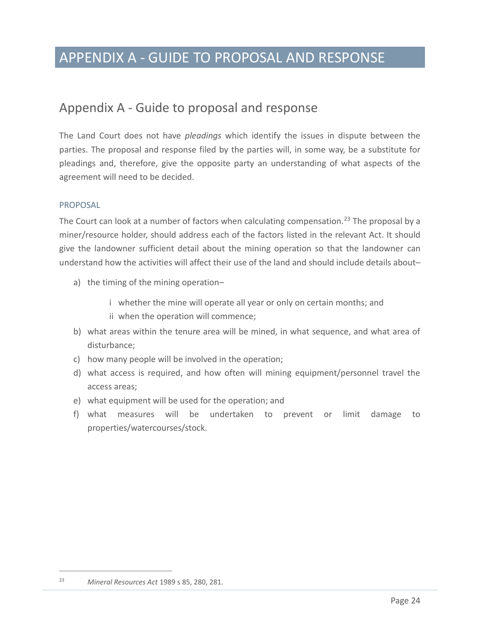### APPENDIX A - GUIDE TO PROPOSAL AND RESPONSE

### <span id="page-26-0"></span>Appendix A - Guide to proposal and response

The Land Court does not have *pleadings* which identify the issues in dispute between the parties. The proposal and response filed by the parties will, in some way, be a substitute for pleadings and, therefore, give the opposite party an understanding of what aspects of the agreement will need to be decided.

#### <span id="page-26-1"></span>**PROPOSAL**

The Court can look at a number of factors when calculating compensation.<sup>23</sup> The proposal by a miner/resource holder, should address each of the factors listed in the relevant Act. It should give the landowner sufficient detail about the mining operation so that the landowner can understand how the activities will affect their use of the land and should include details about–

- a) the timing of the mining operation–
	- i whether the mine will operate all year or only on certain months; and ii when the operation will commence;
- b) what areas within the tenure area will be mined, in what sequence, and what area of disturbance;
- c) how many people will be involved in the operation;
- d) what access is required, and how often will mining equipment/personnel travel the access areas;
- e) what equipment will be used for the operation; and
- f) what measures will be undertaken to prevent or limit damage to properties/watercourses/stock.

<sup>23</sup> *Mineral Resources Act* 1989 s 85, 280, 281.